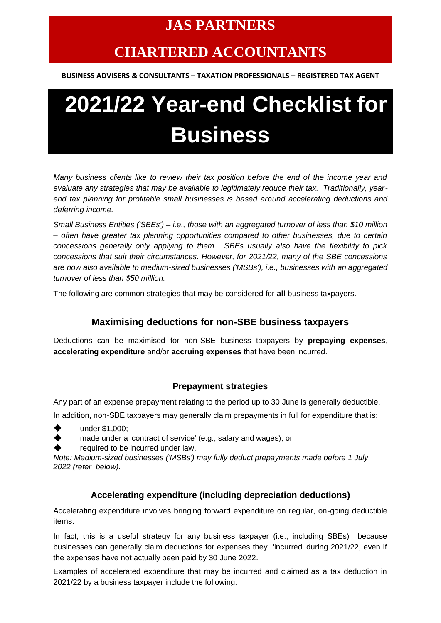# **JAS PARTNERS**

# **CHARTERED ACCOUNTANTS**

**BUSINESS ADVISERS & CONSULTANTS – TAXATION PROFESSIONALS – REGISTERED TAX AGENT**

# **2021/22 Year-end Checklist for Business**

*Many business clients like to review their tax position before the end of the income year and evaluate any strategies that may be available to legitimately reduce their tax. Traditionally, yearend tax planning for profitable small businesses is based around accelerating deductions and deferring income.* 

*Small Business Entities ('SBEs') – i.e., those with an aggregated turnover of less than \$10 million – often have greater tax planning opportunities compared to other businesses, due to certain concessions generally only applying to them. SBEs usually also have the flexibility to pick concessions that suit their circumstances. However, for 2021/22, many of the SBE concessions are now also available to medium-sized businesses ('MSBs'), i.e., businesses with an aggregated turnover of less than \$50 million.* 

The following are common strategies that may be considered for **all** business taxpayers.

## **Maximising deductions for non-SBE business taxpayers**

Deductions can be maximised for non-SBE business taxpayers by **prepaying expenses**, **accelerating expenditure** and/or **accruing expenses** that have been incurred.

## **Prepayment strategies**

Any part of an expense prepayment relating to the period up to 30 June is generally deductible.

In addition, non-SBE taxpayers may generally claim prepayments in full for expenditure that is:

- under \$1,000;
- made under a 'contract of service' (e.g., salary and wages); or
- required to be incurred under law.

*Note: Medium-sized businesses ('MSBs') may fully deduct prepayments made before 1 July 2022 (refer below).*

#### **Accelerating expenditure (including depreciation deductions)**

Accelerating expenditure involves bringing forward expenditure on regular, on-going deductible items.

In fact, this is a useful strategy for any business taxpayer (i.e., including SBEs) because businesses can generally claim deductions for expenses they 'incurred' during 2021/22, even if the expenses have not actually been paid by 30 June 2022.

Examples of accelerated expenditure that may be incurred and claimed as a tax deduction in 2021/22 by a business taxpayer include the following: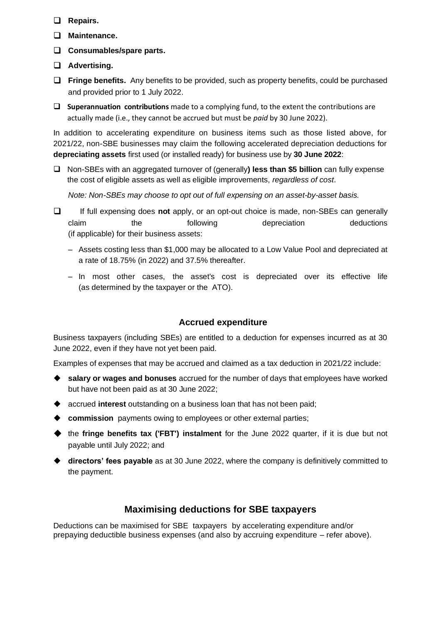- ❑ **Repairs.**
- ❑ **Maintenance.**
- ❑ **Consumables/spare parts.**
- ❑ **Advertising.**
- ❑ **Fringe benefits.** Any benefits to be provided, such as property benefits, could be purchased and provided prior to 1 July 2022.
- ❑ **Superannuation contributions** made to a complying fund, to the extent the contributions are actually made (i.e., they cannot be accrued but must be *paid* by 30 June 2022).

In addition to accelerating expenditure on business items such as those listed above, for 2021/22, non-SBE businesses may claim the following accelerated depreciation deductions for **depreciating assets** first used (or installed ready) for business use by **30 June 2022**:

❑ Non-SBEs with an aggregated turnover of (generally**) less than \$5 billion** can fully expense the cost of eligible assets as well as eligible improvements, *regardless of cost*.

*Note: Non-SBEs may choose to opt out of full expensing on an asset-by-asset basis.*

- ❑ If full expensing does **not** apply, or an opt-out choice is made, non-SBEs can generally claim the following depreciation deductions (if applicable) for their business assets:
	- Assets costing less than \$1,000 may be allocated to a Low Value Pool and depreciated at a rate of 18.75% (in 2022) and 37.5% thereafter.
	- In most other cases, the asset's cost is depreciated over its effective life (as determined by the taxpayer or the ATO).

#### **Accrued expenditure**

Business taxpayers (including SBEs) are entitled to a deduction for expenses incurred as at 30 June 2022, even if they have not yet been paid.

Examples of expenses that may be accrued and claimed as a tax deduction in 2021/22 include:

- ◆ **salary or wages and bonuses** accrued for the number of days that employees have worked but have not been paid as at 30 June 2022;
- ◆ accrued **interest** outstanding on a business loan that has not been paid;
- ◆ **commission** payments owing to employees or other external parties;
- ◆ the **fringe benefits tax ('FBT') instalment** for the June 2022 quarter, if it is due but not payable until July 2022; and
- ◆ **directors' fees payable** as at 30 June 2022, where the company is definitively committed to the payment.

## **Maximising deductions for SBE taxpayers**

Deductions can be maximised for SBE taxpayers by accelerating expenditure and/or prepaying deductible business expenses (and also by accruing expenditure – refer above).